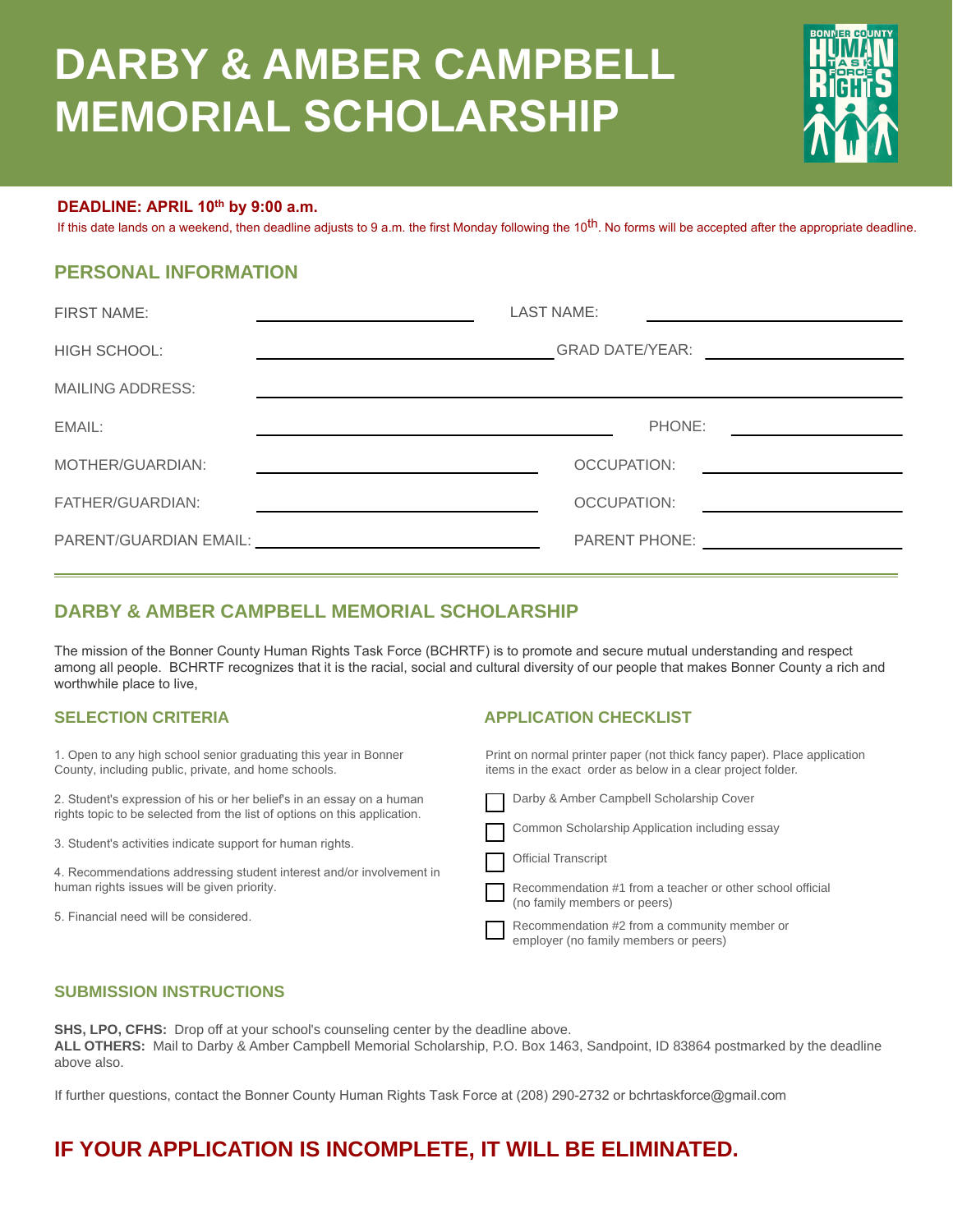# **DARBY & AMBER CAMPBELL MEMORIAL SCHOLARSHIP**



#### **DEADLINE: APRIL 10th by 9:00 a.m.**

If this date lands on a weekend, then deadline adjusts to 9 a.m. the first Monday following the 10<sup>th</sup>. No forms will be accepted after the appropriate deadline.

#### **PERSONAL INFORMATION**

| <b>FIRST NAME:</b>      | <b>LAST NAME:</b>                                                                                                                                                                                                              |
|-------------------------|--------------------------------------------------------------------------------------------------------------------------------------------------------------------------------------------------------------------------------|
| <b>HIGH SCHOOL:</b>     | GRAD DATE/YEAR: <u>__________________________</u><br><u> 1989 - Johann Harry Harry Harry Harry Harry Harry Harry Harry Harry Harry Harry Harry Harry Harry Harry Harry</u>                                                     |
| <b>MAILING ADDRESS:</b> |                                                                                                                                                                                                                                |
| EMAIL:                  | PHONE:                                                                                                                                                                                                                         |
| MOTHER/GUARDIAN:        | OCCUPATION:<br><u> 1989 - Andrea Station Books, amerikansk politik (</u>                                                                                                                                                       |
| FATHER/GUARDIAN:        | OCCUPATION:<br><u> 1989 - Andrea Andrew Maria III (b. 19</u>                                                                                                                                                                   |
|                         | PARENT/GUARDIAN EMAIL: University of the contract of the contract of the contract of the contract of the contract of the contract of the contract of the contract of the contract of the contract of the contract of the contr |
|                         |                                                                                                                                                                                                                                |

#### **DARBY & AMBER CAMPBELL MEMORIAL SCHOLARSHIP**

The mission of the Bonner County Human Rights Task Force (BCHRTF) is to promote and secure mutual understanding and respect among all people. BCHRTF recognizes that it is the racial, social and cultural diversity of our people that makes Bonner County a rich and worthwhile place to live,

1. Open to any high school senior graduating this year in Bonner County, including public, private, and home schools.

2. Student's expression of his or her belief's in an essay on a human rights topic to be selected from the list of options on this application.

3. Student's activities indicate support for human rights.

4. Recommendations addressing student interest and/or involvement in human rights issues will be given priority.

5. Financial need will be considered.

#### **SELECTION CRITERIA APPLICATION CHECKLIST**

Print on normal printer paper (not thick fancy paper). Place application items in the exact order as below in a clear project folder.



#### **SUBMISSION INSTRUCTIONS**

**SHS, LPO, CFHS:** Drop off at your school's counseling center by the deadline above. **ALL OTHERS:** Mail to Darby & Amber Campbell Memorial Scholarship, P.O. Box 1463, Sandpoint, ID 83864 postmarked by the deadline above also.

If further questions, contact the Bonner County Human Rights Task Force at (208) 290-2732 or bchrtaskforce@gmail.com

## **IF YOUR APPLICATION IS INCOMPLETE, IT WILL BE ELIMINATED.**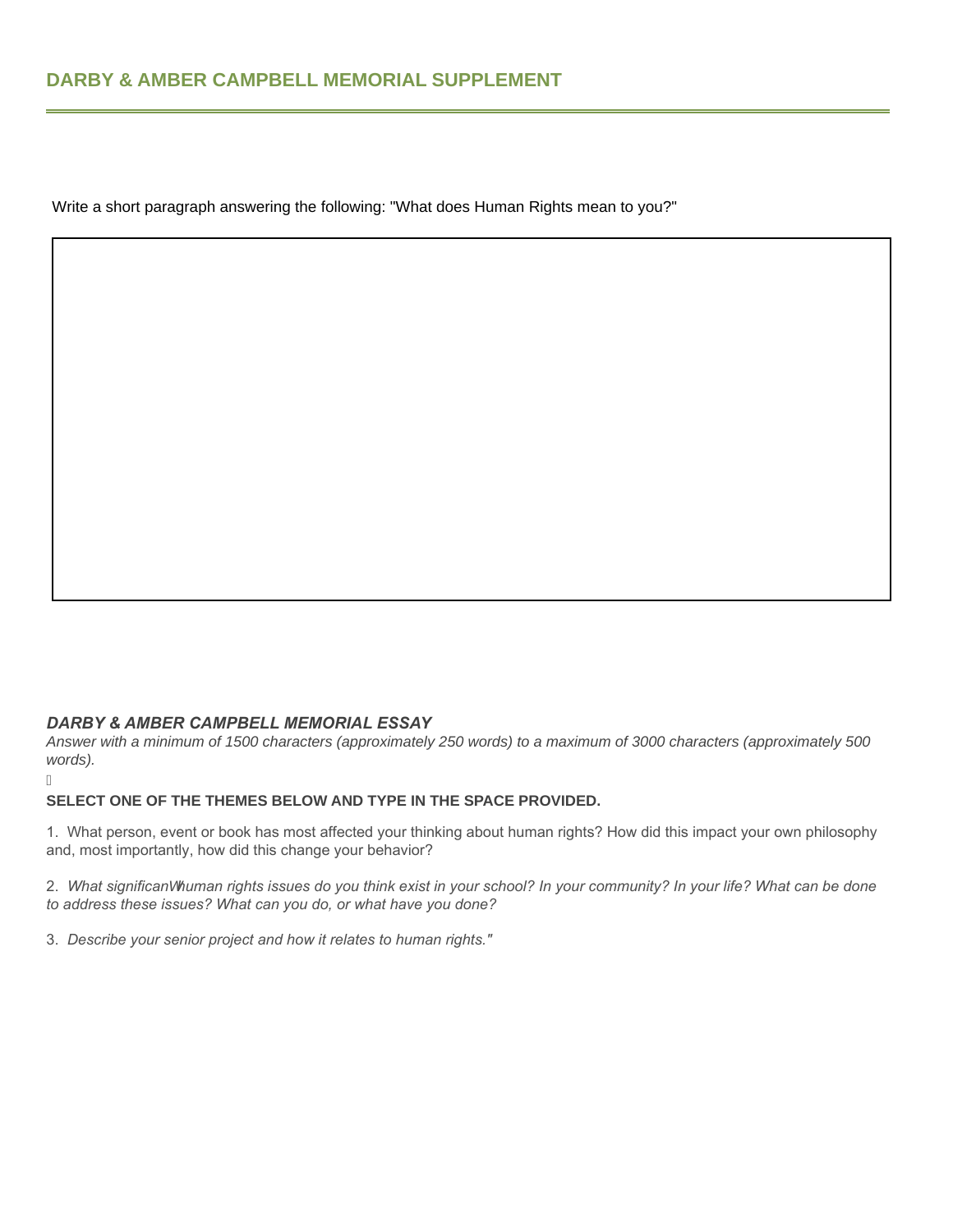Write a short paragraph answering the following: "What does Human Rights mean to you?"

#### *DARBY & AMBER CAMPBELL MEMORIAL ESSAY*

j

*Answer with a minimum of 1500 characters (approximately 250 words) to a maximum of 3000 characters (approximately 500 words).* 

#### **SELECT ONE OF THE THEMES BELOW AND TYPE IN THE SPACE PROVIDED.**

1. What person, event or book has most affected your thinking about human rights? How did this impact your own philosophy and, most importantly, how did this change your behavior?

2. *What significanW human rights issues do you think exist in your school? In your community? In your life? What can be done to address these issues? What can you do, or what have you done?*

3. *Describe your senior project and how it relates to human rights."*